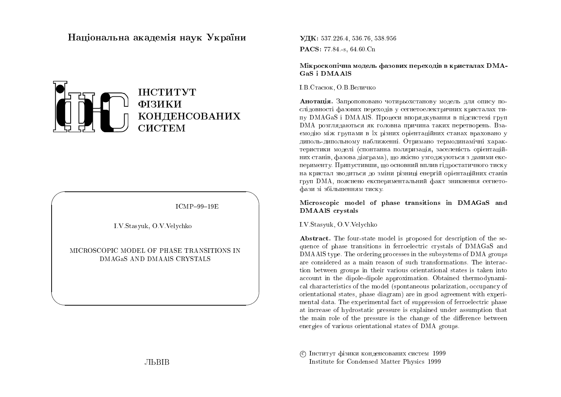# Національна академія наук України



 $ICMP-99-19E$ 

I.V.Stasyuk, O.V.Velychko

MICROSCOPIC MODEL OF PHASE TRANSITIONS IN DMAGAS AND DMAAIS CRYSTALS

УДК: 537 226 4, 536 76, 538 956 PACS: 77.84 - s, 64.60 Cn

Мікроскопічна модель фазових переходів в кристалах DMA-GaS i DMAAlS

**I.B.Cтасюк, О.В. Величко** 

Анотація. Запропоновано чотирьохстанову модель для опису послідовності фазових переходів у сегнетоелектричних кристалах типу DMAGaS і DMAAlS. Процеси впорядкування в підсистемі груп DMA розглядаються як головна причина таких перетворень. Взаємодію між групами в їх різних орієнтаційних станах враховано у диполь-дипольному наближенні. Отримано термодинамічні характеристики моделі (спонтанна поляризація, заселеність орієнтаційних станів, фазова діаграма), що якісно узгоджуються з даними експерименту. Припустивши, що основний вплив гідростатичного тиску на кристал зводиться до зміни різниці енергій орієнтаційних станів груп DMA, пояснено експериментальний факт зникнення сегнетофази зі збільшенням тиску.

### Microscopic model of phase transitions in DMAGaS and **DMAAIS** crystals

I.V.Stasyuk, O.V.Velychko

**Abstract.** The four-state model is proposed for description of the sequence of phase transitions in ferroelectric crystals of DMAGaS and DMAAlS type. The ordering processes in the subsystems of DMA groups are considered as a main reason of such transformations. The interaction between groups in their various orientational states is taken into account in the dipole-dipole approximation. Obtained thermodynamical characteristics of the model (spontaneous polarization, occupancy of orientational states, phase diagram) are in good agreement with experimental data. The experimental fact of suppression of ferroelectric phase at increase of hydrostatic pressure is explained under assumption that the main role of the pressure is the change of the difference between energies of various orientational states of DMA groups.

С Інститут фізики конденсованих систем 1999 Institute for Condensed Matter Physics 1999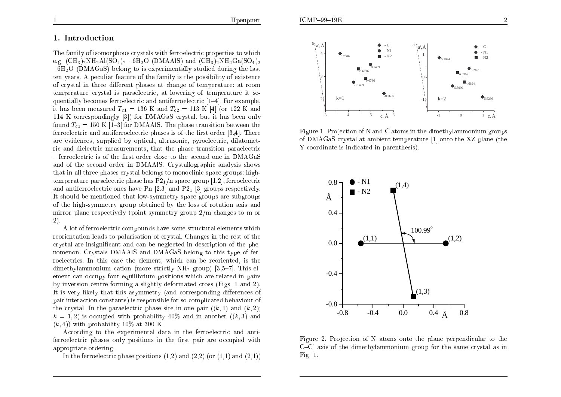$\overline{2}$ 

# 1. Introduction

The family of isomorphous crystals with ferroelectric properties to which e.g.  $(CH_3)_2NH_2Al(SO_4)_2$  6H<sub>2</sub>O (DMAAlS) and  $(CH_3)_2NH_2Ga(SO_4)_2$  $-6H<sub>2</sub>O$  (DMAGaS) belong to is experimentally studied during the last ten years. A peculiar feature of the family is the possibility of existence of crystal in three different phases at change of temperature: at room temperature crystal is paraelectric, at lowering of temperature it sequentially becomes ferroelectric and antiferroelectric  $[1-4]$ . For example, it has been measured  $T_{c1} = 136$  K and  $T_{c2} = 113$  K [4] (or 122 K and 114 K correspondingly [3]) for DMAGaS crystal, but it has been only found  $T_{c1} = 150 \text{ K}$  [1-3] for DMAAIS. The phase transition between the ferroelectric and antiferroelectric phases is of the first order [3,4]. There are evidences, supplied by optical, ultrasonic, pyroelectric, dilatometric and dielectric measurements, that the phase transition paraelectric - ferroelectric is of the first order close to the second one in DMAGaS and of the second order in DMAAIS. Crystallographic analysis shows that in all three phases crystal belongs to monoclinic space groups: hightemperature paraelectric phase has  $P2_1/n$  space group [1,2], ferroelectric and antiferroelectric ones have Pn [2,3] and P2<sub>1</sub> [3] groups respectively. It should be mentioned that low-symmetry space groups are subgroups of the high-symmetry group obtained by the loss of rotation axis and mirror plane respectively (point symmetry group  $2/m$  changes to m or 2).

A lot of ferroelectric compounds have some structural elements which reorientation leads to polarization of crystal. Changes in the rest of the crystal are insignificant and can be neglected in description of the phenomenon. Crystals DMAAlS and DMAGaS belong to this type of ferroelectrics. In this case the element, which can be reoriented, is the dimethylammonium cation (more strictly  $NH_2$  group) [3.5–7]. This element can occupy four equilibrium positions which are related in pairs by inversion centre forming a slightly deformated cross (Figs. 1 and 2). It is very likely that this asymmetry (and corresponding differences of pair interaction constants) is responsible for so complicated behaviour of the crystal. In the paradectric phase site in one pair  $((k,1)$  and  $(k,2)$ .  $k = 1, 2$  is occupied with probability 40% and in another  $((k, 3)$  and  $(k, 4)$  with probability 10\% at 300 K.

According to the experimental data in the ferroelectric and antiferroelectric phases only positions in the first pair are occupied with appropriate ordering.

In the ferroelectric phase positions  $(1,2)$  and  $(2,2)$  (or  $(1,1)$  and  $(2,1)$ )



Figure 1. Projection of N and C atoms in the dimethylammonium groups of DMAGaS crystal at ambient temperature [1] onto the XZ plane (the Y coordinate is indicated in parenthesis).



Figure 2. Projection of N atoms onto the plane perpendicular to the  $C-C'$  axis of the dimethylammonium group for the same crystal as in Fig.  $1$ .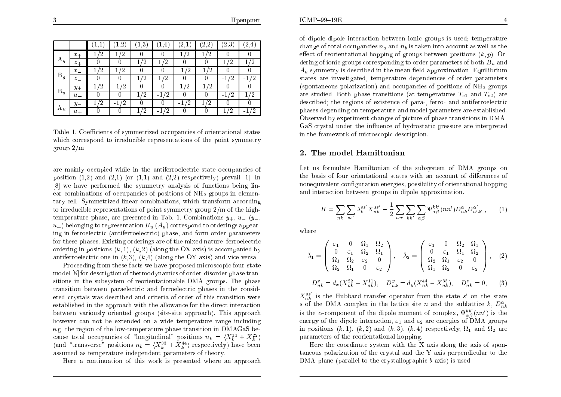|       |                  |         | ി<br>↵      | $\cdot$ <sup>3</sup> | 4                    | $^{\prime}$ <sub>2</sub> , | $^{\prime}$ 0<br>ച<br>$\overline{a}$ | $\left( 2.3\right)$ | Ί.<br>4   |
|-------|------------------|---------|-------------|----------------------|----------------------|----------------------------|--------------------------------------|---------------------|-----------|
| $A_g$ | $x_{+}$          | ົາ<br>∠ | '2          |                      |                      | '2                         | /າ                                   |                     |           |
|       | $z_{+}$          |         |             | '2                   | '2                   |                            |                                      | '2                  | ່ງ        |
| $B_g$ | $x_{-}$          | '2      | '2          |                      |                      | '2<br>-1                   | '2<br>$-1$                           |                     |           |
|       | $z_{-}$          |         |             | '2                   | '2                   |                            |                                      | ′2<br>- 1           | '2<br>- 1 |
| $B_u$ | $y_+$            | '2      | '2<br>$-11$ |                      |                      | '2                         | '2<br>- 1                            |                     |           |
|       | $u_{-}$          |         |             | '2                   | $^{\prime}2$<br>$-1$ |                            |                                      | '2<br>- 1           | ່າ        |
| $A_u$ | $\boldsymbol{y}$ | '2      | '2<br>$-1$  |                      |                      | '2<br>$-1$                 | / ດ                                  |                     |           |
|       | $u_+$            |         |             | '2                   | ′2<br>$\sim$ 1       |                            |                                      | '2                  | ഗ         |

Table 1. Coefficients of symmetrized occupancies of orientational states which correspond to irreducible representations of the point symmetry group  $2/m$ .

are mainly occupied while in the antiferroelectric state occupancies of position  $(1,2)$  and  $(2,1)$  (or  $(1,1)$  and  $(2,2)$  respectively) prevail [1]. In [8] we have performed the symmetry analysis of functions being linear combinations of occupancies of positions of  $NH<sub>2</sub>$  groups in elementary cell. Symmetrized linear combinations, which transform according to irreducible representations of point symmetry group  $2/m$  of the hightemperature phase, are presented in Tab. 1. Combinations  $y_+, u_-(y_-,$  $u_{+}$ ) belonging to representation  $B_{u}(A_{u})$  correspond to orderings appearing in ferroelectric (antiferroelectric) phase, and form order parameters for these phases. Existing orderings are of the mixed nature: ferroelectric ordering in positions  $(k, 1)$ ,  $(k, 2)$  (along the OX axis) is accompanied by antiferroelectric one in  $(k,3)$ ,  $(k,4)$  (along the OY axis) and vice versa.

Proceeding from these facts we have proposed microscopic four-state model [8] for description of thermodynamics of order-disorder phase transitions in the subsystem of reorientationable DMA groups. The phase transition between paraelectric and ferroelectric phases in the considered crystals was described and criteria of order of this transition were established in the approach with the allowance for the direct interaction between variously oriented groups (site-site approach). This approach however can not be extended on a wide temperature range including e.g. the region of the low-temperature phase transition in DMAGaS because total occupancies of "longitudinal" positions  $n_k = \langle X_k^{11} + X_k^{22} \rangle$ (and "transverse" positions  $n_b = \langle X_k^{33} + X_k^{44} \rangle$  respectively) have been assumed as temperature independent parameters of theory.

Here a continuation of this work is presented where an approach

of dipole-dipole interaction between ionic groups is used; temperature change of total occupancies  $n_a$  and  $n_b$  is taken into account as well as the effect of reorientational hopping of groups between positions  $(k, p)$ . Ordering of ionic groups corresponding to order parameters of both  $B_u$  and  $A<sub>u</sub>$  symmetry is described in the mean field approximation. Equilibrium states are investigated, temperature dependences of order parameters (spontaneous polarization) and occupancies of positions of  $NH_2$  groups are studied. Both phase transitions (at temperatures  $T_{c1}$  and  $T_{c2}$ ) are described; the regions of existence of para-, ferro- and antiferroelectric phases depending on temperature and model parameters are established. Observed by experiment changes of picture of phase transitions in DMA-GaS crystal under the influence of hydrostatic pressure are interpreted in the framework of microscopic description.

#### 2. The model Hamiltonian

Let us formulate Hamiltonian of the subsystem of DMA groups on the basis of four orientational states with an account of differences of nonequivalent configuration energies, possibility of orientational hopping and interaction between groups in dipole approximation.

$$
H = \sum_{nk} \sum_{ss'} \lambda_k^{ss'} X_{nk}^{ss'} - \frac{1}{2} \sum_{nn'} \sum_{kk'} \sum_{\alpha\beta} \Psi_{\alpha\beta}^{kk'} (nn') D_{nk}^{\alpha} D_{n'k'}^{\alpha'}, \qquad (1)
$$

where

$$
\hat{\lambda}_1 = \begin{pmatrix} \varepsilon_1 & 0 & \Omega_1 & \Omega_2 \\ 0 & \varepsilon_1 & \Omega_2 & \Omega_1 \\ \Omega_1 & \Omega_2 & \varepsilon_2 & 0 \\ \Omega_2 & \Omega_1 & 0 & \varepsilon_2 \end{pmatrix}, \quad \hat{\lambda}_2 = \begin{pmatrix} \varepsilon_1 & 0 & \Omega_2 & \Omega_1 \\ 0 & \varepsilon_1 & \Omega_1 & \Omega_2 \\ \Omega_2 & \Omega_1 & \varepsilon_2 & 0 \\ \Omega_1 & \Omega_2 & 0 & \varepsilon_2 \end{pmatrix}, \quad (2)
$$

$$
D_{nk}^x = d_x (X_{nk}^{22} - X_{nk}^{11}), \quad D_{nk}^y = d_y (X_{nk}^{44} - X_{nk}^{33}), \quad D_{nk}^z = 0, \quad (3)
$$

 $X_{nk}^{ss'}$  is the Hubbard transfer operator from the state s' on the state s of the DMA complex in the lattice site n and the sublattice k,  $D_{nk}^{\alpha}$ is the  $\alpha$ -component of the dipole moment of complex,  $\Psi_{\alpha\beta}^{kk'}(nn')$  is the energy of the dipole interaction,  $\varepsilon_1$  and  $\varepsilon_2$  are energies of DMA groups in positions  $(k,1)$ ,  $(k,2)$  and  $(k,3)$ ,  $(k,4)$  respectively,  $\Omega_1$  and  $\Omega_2$  are parameters of the reorientational hopping.

Here the coordinate system with the X axis along the axis of spontaneous polarization of the crystal and the Y axis perpendicular to the DMA plane (parallel to the crystallographic  $b$  axis) is used.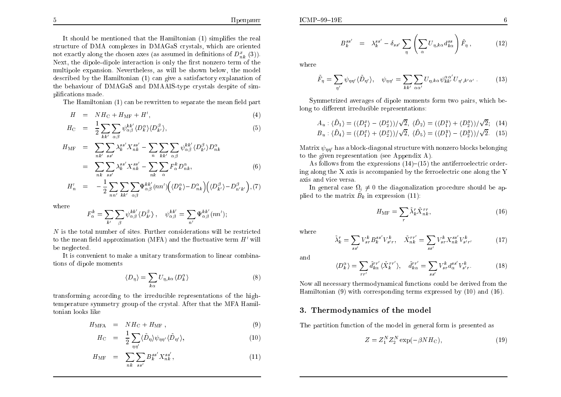$ICMP-99-19E$ 

$$
B_k^{ss'} = \lambda_k^{ss'} - \delta_{ss'} \sum_{\eta} \left( \sum_{\alpha} U_{\eta,k\alpha} d_{k\alpha}^{ss} \right) \tilde{F}_{\eta} , \qquad (12)
$$

where

$$
\tilde{F}_{\eta} = \sum_{\eta'} \psi_{\eta\eta'} \langle \tilde{D}_{\eta'} \rangle, \quad \psi_{\eta\eta'} = \sum_{kk'} \sum_{\alpha\alpha'} U_{\eta,k\alpha} \psi_{kk'}^{\alpha\alpha'} U_{\eta',k'\alpha'} . \tag{13}
$$

Symmetrized averages of dipole moments form two pairs, which belong to different irreducible representations:

$$
A_u : \langle \tilde{D}_1 \rangle = (\langle D_1^x \rangle - \langle D_2^x \rangle)/\sqrt{2}, \ \langle \tilde{D}_2 \rangle = (\langle D_1^y \rangle + \langle D_2^y \rangle)/\sqrt{2}; \tag{14}
$$
  

$$
B_u : \langle \tilde{D}_4 \rangle = (\langle D_1^x \rangle + \langle D_2^x \rangle)/\sqrt{2}, \ \langle \tilde{D}_5 \rangle = (\langle D_1^y \rangle - \langle D_2^y \rangle)/\sqrt{2}. \tag{15}
$$

Matrix  $\psi_{\eta\eta'}$  has a block-diagonal structure with nonzero blocks belonging to the given representation (see Appendix A).

As follows from the expressions  $(14)$ – $(15)$  the antiferroelectric ordering along the  $X$  axis is accompanied by the ferroelectric one along the  $Y$ axis and vice versa.

In general case  $\Omega_i \neq 0$  the diagonalization procedure should be applied to the matrix  $\hat{B}_k$  in expression (11):

$$
H_{\rm MF} = \sum_r \tilde{\lambda}_k^r \tilde{X}_{nk}^{rr},\tag{16}
$$

where

$$
\tilde{\lambda}_k^r = \sum_{ss'} V_{sr}^k B_k^{ss'} V_{s'r}^k, \quad \tilde{X}_{nk}^{rr'} = \sum_{ss'} V_{sr}^k X_{nk}^{ss'} V_{s'r'}^k
$$
\n(17)

and

$$
\langle D_k^{\alpha} \rangle = \sum_{rr'} \tilde{d}_{k\alpha}^{rr'} \langle \tilde{X}_k^{rr'} \rangle, \quad \tilde{d}_{k\alpha}^{rr'} = \sum_{ss'} V_{sr}^k d_{\alpha}^{ss'} V_{s'r}^k. \tag{18}
$$

Now all necessary thermodynamical functions could be derived from the Hamiltonian (9) with corresponding terms expressed by  $(10)$  and  $(16)$ .

#### 3. Thermodynamics of the model

The partition function of the model in general form is presented as

$$
Z = Z_1^N Z_2^N \exp(-\beta N H_{\rm C}),\tag{19}
$$

It should be mentioned that the Hamiltonian (1) simplifies the real structure of DMA complexes in DMAGaS crystals, which are oriented not exactly along the chosen axes (as assumed in definitions of  $D_{nk}^x(3)$ ). Next, the dipole-dipole interaction is only the first nonzero term of the multipole expansion. Nevertheless, as will be shown below, the model described by the Hamiltonian (1) can give a satisfactory explanation of the behaviour of DMAGaS and DMAAlS-type crystals despite of simplifications made.

The Hamiltonian (1) can be rewritten to separate the mean field part

$$
H = NH_{\rm C} + H_{\rm MF} + H', \tag{4}
$$

$$
H_{\rm C} = \frac{1}{2} \sum_{kk'} \sum_{\alpha\beta} \psi_{\alpha\beta}^{kk'} \langle D_k^{\alpha} \rangle \langle D_{k'}^{\beta} \rangle, \tag{5}
$$

$$
H_{\text{MF}} = \sum_{nk'} \sum_{ss'} \lambda_k^{ss'} X_{nk}^{ss'} - \sum_{n} \sum_{kk'} \sum_{\alpha\beta} \psi_{\alpha\beta}^{kk'} \langle D_{k'}^{\beta} \rangle D_{nk}^{\alpha}
$$
  

$$
= \sum_{nk} \sum_{ss'} \lambda_k^{ss'} X_{nk}^{ss'} - \sum_{nk} \sum_{\alpha} F_{\alpha}^{k} D_{nk}^{\alpha}, \tag{6}
$$

$$
H'_{n} = -\frac{1}{2} \sum_{nn'} \sum_{kk'} \sum_{\alpha\beta} \Psi_{\alpha\beta}^{kk'}(nn') \Big( \langle D_{k}^{\alpha} \rangle - D_{nk}^{\alpha} \Big) \Big( \langle D_{k'}^{\beta} \rangle - D_{n'k'}^{\beta} \Big), (7)
$$

where

$$
F^k_\alpha = \sum_{k'} \sum_\beta \psi^{kk'}_{\alpha\beta} \langle D^{\beta}_{k'} \rangle \ , \quad \psi^{kk'}_{\alpha\beta} = \sum_{n'} \Psi^{kk'}_{\alpha\beta} \left( n n' \right)
$$

N is the total number of sites. Further considerations will be restricted to the mean field approximation (MFA) and the fluctuative term  $H'$  will be neglected.

It is convenient to make a unitary transformation to linear combinations of dipole moments

$$
\langle D_{\eta} \rangle = \sum_{k \alpha} U_{\eta, k \alpha} \langle D_k^{\alpha} \rangle \tag{8}
$$

transforming according to the irreducible representations of the hightemperature symmetry group of the crystal. After that the MFA Hamiltonian looks like

$$
H_{\text{MFA}} = NH_{\text{C}} + H_{\text{MF}}\,,\tag{9}
$$

$$
H_{\rm C} = \frac{1}{2} \sum_{\eta \eta'} \langle \tilde{D}_{\eta} \rangle \psi_{\eta \eta'} \langle \tilde{D}_{\eta'} \rangle, \tag{10}
$$

$$
H_{\rm MF} = \sum_{nk} \sum_{ss'} B_k^{ss'} X_{nk}^{ss'}, \qquad (11)
$$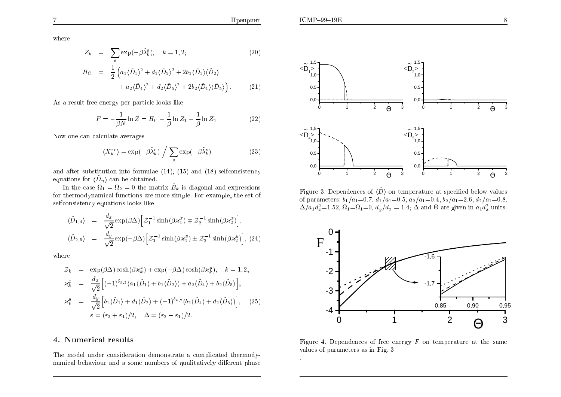-7

$$
Z_k = \sum_{s} \exp(-\beta \tilde{\lambda}_k^s), \quad k = 1, 2; \tag{20}
$$

$$
H_{\rm C} = \frac{1}{2} \left( a_1 \langle \tilde{D}_1 \rangle^2 + d_1 \langle \tilde{D}_2 \rangle^2 + 2b_1 \langle \tilde{D}_1 \rangle \langle \tilde{D}_2 \rangle \right. \\ + a_2 \langle \tilde{D}_4 \rangle^2 + d_2 \langle \tilde{D}_5 \rangle^2 + 2b_2 \langle \tilde{D}_4 \rangle \langle \tilde{D}_5 \rangle \right). \tag{21}
$$

As a result free energy per particle looks like

$$
F = -\frac{1}{\beta N} \ln Z = H_C - \frac{1}{\beta} \ln Z_1 - \frac{1}{\beta} \ln Z_2.
$$
 (22)

Now one can calculate averages

$$
\langle X_k^{rr} \rangle = \exp(-\beta \tilde{\lambda}_k^r) / \sum_s \exp(-\beta \tilde{\lambda}_k^s)
$$
 (23)

and after substitution into formulae  $(14)$ ,  $(15)$  and  $(18)$  selfconsistency equations for  $\langle \tilde{D}_n \rangle$  can be obtained.

In the case  $\Omega_1 = \Omega_2 = 0$  the matrix  $\hat{B}_k$  is diagonal and expressions for thermodynamical functions are more simple. For example, the set of selfconsistency equations looks like

$$
\langle \tilde{D}_{1,4} \rangle = \frac{d_x}{\sqrt{2}} \exp(\beta \Delta) \Big[ \mathcal{Z}_1^{-1} \sinh(\beta \varkappa_1^x) \mp \mathcal{Z}_2^{-1} \sinh(\beta \varkappa_2^x) \Big],
$$
  

$$
\langle \tilde{D}_{2,5} \rangle = \frac{d_y}{\sqrt{2}} \exp(-\beta \Delta) \Big[ \mathcal{Z}_1^{-1} \sinh(\beta \varkappa_1^y) \pm \mathcal{Z}_2^{-1} \sinh(\beta \varkappa_2^y) \Big], \ (24)
$$

where

$$
\mathcal{Z}_k = \exp(\beta \Delta) \cosh(\beta \varkappa_k^x) + \exp(-\beta \Delta) \cosh(\beta \varkappa_k^y), \quad k = 1, 2,
$$
  
\n
$$
\varkappa_k^x = \frac{d_x}{\sqrt{2}} \Big[ (-1)^{\delta_{k,2}} (a_1 \langle \tilde{D}_1 \rangle + b_1 \langle \tilde{D}_2 \rangle) + a_2 \langle \tilde{D}_4 \rangle + b_2 \langle \tilde{D}_5 \rangle \Big],
$$
  
\n
$$
\varkappa_k^y = \frac{d_y}{\sqrt{2}} \Big[ b_1 \langle \tilde{D}_1 \rangle + d_1 \langle \tilde{D}_2 \rangle + (-1)^{\delta_{k,2}} (b_2 \langle \tilde{D}_4 \rangle + d_2 \langle \tilde{D}_5 \rangle) \Big], \quad (25)
$$
  
\n
$$
\varepsilon = (\varepsilon_2 + \varepsilon_1)/2, \quad \Delta = (\varepsilon_2 - \varepsilon_1)/2.
$$

## 4. Numerical results

The model under consideration demonstrate a complicated thermodynamical behaviour and a some numbers of qualitatively different phase



Figure 3. Dependences of  $\langle \tilde{D} \rangle$  on temperature at specified below values of parameters:  $b_1/a_1=0.7$ ,  $d_1/a_1=0.5$ ,  $a_2/a_1=0.4$ ,  $b_2/a_1=2.6$ ,  $d_2/a_1=0.8$ ,  $\Delta/a_1d_x^2=1.52, \Omega_1=\Omega_1=0, d_y/d_x=1.4, \Delta$  and  $\Theta$  are given in  $a_1d_x^2$  units.



Figure 4. Dependences of free energy  $F$  on temperature at the same values of parameters as in Fig. 3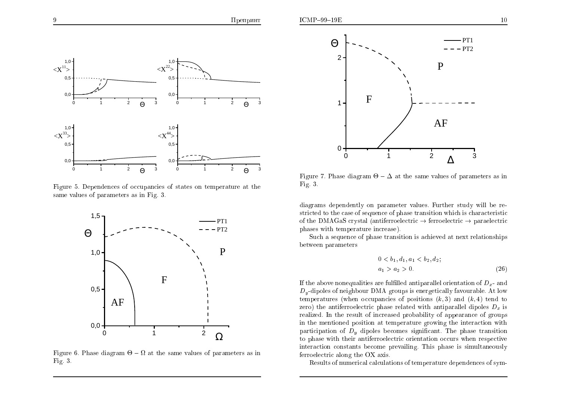

Figure 5. Dependences of occupancies of states on temperature at the same values of parameters as in Fig. 3.



Figure 6. Phase diagram  $\Theta - \Omega$  at the same values of parameters as in Fig.  $3$ .



Figure 7. Phase diagram  $\Theta - \Delta$  at the same values of parameters as in Fig.  $3$ .

diagrams dependently on parameter values. Further study will be restricted to the case of sequence of phase transition which is characteristic of the DMAGaS crystal (antiferroelectric  $\rightarrow$  ferroelectric  $\rightarrow$  paraelectric phases with temperature increase).

Such a sequence of phase transition is achieved at next relationships between parameters

$$
0 < b_1, d_1, a_1 < b_2, d_2; \\
a_1 > a_2 > 0. \tag{26}
$$

If the above nonequalities are fulfilled antiparallel orientation of  $D<sub>x</sub>$ - and  $D_y$ -dipoles of neighbour DMA groups is energetically favourable. At low temperatures (when occupancies of positions  $(k, 3)$  and  $(k, 4)$  tend to zero) the antiferroelectric phase related with antiparallel dipoles  $D_x$  is realized. In the result of increased probability of appearance of groups in the mentioned position at temperature growing the interaction with participation of  $D<sub>y</sub>$  dipoles becomes significant. The phase transition to phase with their antiferroelectric orientation occurs when respective interaction constants become prevailing. This phase is simultaneously ferroelectric along the OX axis.

Results of numerical calculations of temperature dependences of sym-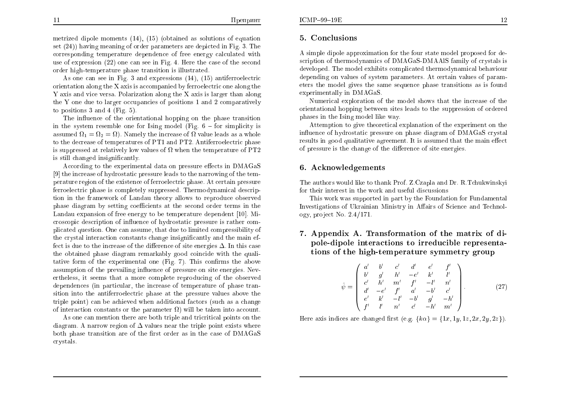$ICMP-99-19E$ 

As one can see in Fig. 3 and expressions  $(14)$ ,  $(15)$  antiferroelectric orientation along the X axis is accompanied by ferroelectric one along the Y axis and vice versa. Polarization along the X axis is larger than along the Y one due to larger occupancies of positions 1 and 2 comparatively to positions 3 and 4 (Fig. 5).

The influence of the orientational hopping on the phase transition in the system resemble one for Ising model (Fig.  $6 -$  for simplicity is assumed  $\Omega_1 = \Omega_2 = \Omega$ ). Namely the increase of  $\Omega$  value leads as a whole to the decrease of temperatures of PT1 and PT2. Antiferroelectric phase is suppressed at relatively low values of  $\Omega$  when the temperature of PT2 is still changed insignificantly.

According to the experimental data on pressure effects in DMAGaS [9] the increase of hydrostatic pressure leads to the narrowing of the temperature region of the existence of ferroelectric phase. At certain pressure ferroelectric phase is completely suppressed. Thermodynamical description in the framework of Landau theory allows to reproduce observed phase diagram by setting coefficients at the second order terms in the Landau expansion of free energy to be temperature dependent [10]. Microscopic description of influence of hydrostatic pressure is rather complicated question. One can assume, that due to limited compressibility of the crystal interaction constants change insignificantly and the main effect is due to the increase of the difference of site energies  $\Delta$ . In this case the obtained phase diagram remarkably good coincide with the qualitative form of the experimental one (Fig. 7). This confirms the above assumption of the prevailing influence of pressure on site energies. Nevertheless, it seems that a more complete reproducing of the observed dependences (in particular, the increase of temperature of phase transition into the antiferroelectric phase at the pressure values above the triple point) can be achieved when additional factors (such as a change of interaction constants or the parameter  $\Omega$ ) will be taken into account.

As one can mention there are both triple and tricritical points on the diagram. A narrow region of  $\Delta$  values near the triple point exists where both phase transition are of the first order as in the case of DMAGaS crystals.

#### 5. Conclusions

A simple dipole approximation for the four state model proposed for description of thermodynamics of DMAGaS-DMAAIS family of crystals is developed. The model exhibits complicated thermodynamical behaviour depending on values of system parameters. At certain values of parameters the model gives the same sequence phase transitions as is found experimentally in DMAGaS.

Numerical exploration of the model shows that the increase of the orientational hopping between sites leads to the suppression of ordered phases in the Ising model like way.

Attemption to give theoretical explanation of the experiment on the influence of hydrostatic pressure on phase diagram of DMAGaS crystal results in good qualitative agreement. It is assumed that the main effect of pressure is the change of the difference of site energies.

## 6. Acknowledgements

The authors would like to thank Prof. Z. Czapla and Dr. R. Tchukwinskyi for their interest in the work and useful discussions

This work was supported in part by the Foundation for Fundamental Investigations of Ukrainian Ministry in Affairs of Science and Technology, project No.  $2.4/171$ .

7. Appendix A. Transformation of the matrix of dipole-dipole interactions to irreducible representations of the high-temperature symmetry group

$$
\hat{\psi} = \begin{pmatrix}\n a' & b' & c' & d' & e' & f' \\
 b' & g' & h' & -e' & k' & l' \\
 c' & h' & m' & f' & -l' & n' \\
 d' & -e' & f' & a' & -b' & c' \\
 e' & k' & -l' & -b' & g' & -h' \\
 f' & l' & n' & c' & -h' & m'\n\end{pmatrix}.
$$
\n(27)

Here axis indices are changed first (e.g.  $\{k\alpha\} = \{1x, 1y, 1z, 2x, 2y, 2z\}$ ).

12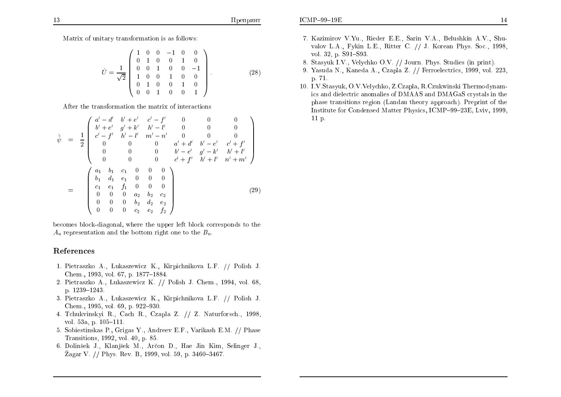Matrix of unitary transformation is as follows:

$$
\hat{U} = \frac{1}{\sqrt{2}} \begin{pmatrix} 1 & 0 & 0 & -1 & 0 & 0 \\ 0 & 1 & 0 & 0 & 1 & 0 \\ 0 & 0 & 1 & 0 & 0 & -1 \\ 1 & 0 & 0 & 1 & 0 & 0 \\ 0 & 1 & 0 & 0 & 1 & 0 \\ 0 & 0 & 1 & 0 & 0 & 1 \end{pmatrix} .
$$
 (28)

After the transformation the matrix of interactions

$$
\hat{\psi} = \frac{1}{2} \begin{pmatrix}\n a' - d' & b' + e' & c' - f' & 0 & 0 & 0 \\
 b' + e' & g' + k' & h' - l' & 0 & 0 & 0 \\
 c' - f' & h' - l' & m' - n' & 0 & 0 & 0 \\
 0 & 0 & 0 & a' + d' & b' - e' & c' + f' \\
 0 & 0 & 0 & b' - e' & g' - k' & h' + l' \\
 0 & 0 & 0 & c' + f' & h' + l' & n' + m'\n\end{pmatrix}
$$
\n
$$
= \begin{pmatrix}\n a_1 & b_1 & c_1 & 0 & 0 & 0 \\
 b_1 & d_1 & e_1 & 0 & 0 & 0 \\
 c_1 & e_1 & f_1 & 0 & 0 & 0 \\
 0 & 0 & 0 & a_2 & b_2 & c_2 \\
 0 & 0 & 0 & 0 & c_2 & e_2 & f_2\n\end{pmatrix}
$$
\n(29)

becomes block-diagonal, where the upper left block corresponds to the  $A_u$  representation and the bottom right one to the  $B_u$ .

### References

- 1. Pietraszko A., Łukaszewicz K., Kirpichnikova L.F. // Polish J. Chem., 1993, vol. 67, p. 1877-1884.
- 2. Pietraszko A., Lukaszewicz K. // Polish J. Chem., 1994, vol. 68, p. 1239-1243.
- 3. Pietraszko A., Łukaszewicz K., Kirpichnikova L.F. // Polish J. Chem., 1995, vol. 69, p. 922-930.
- 4. Tchukvinskyi R., Cach R., Czapla Z. // Z. Naturforsch., 1998, vol. 53a, p.  $105-111$ .
- 5. Sobiestinskas P., Grigas Y., Andreev E.F., Varikash E.M. // Phase Transitions, 1992, vol. 40, p. 85.
- 6. Dolinšek J., Klanjšek M., Arčon D., Hae Jin Kim, Selinger J., Žagar V. // Phys. Rev. B, 1999, vol. 59, p. 3460–3467.
- 7. Kazimirov V.Yu., Rieder E.E., Sarin V.A., Belushkin A.V., Shuvalov L.A., Fykin L.E., Ritter C. // J. Korean Phys. Soc., 1998, vol. 32, p. S91-S93.
- 8. Stasyuk I.V., Velychko O.V. // Journ. Phys. Studies (in print).
- 9. Yasuda N., Kaneda A., Czapla Z. // Ferroelectrics, 1999, vol. 223. p. 71.
- 10. I.V.Stasyuk, O.V.Velychko, Z.Czapla, R.Czukwinski Thermodynamics and dielectric anomalies of DMAAS and DMAGaS crystals in the phase transitions region (Landau theory approach). Preprint of the Institute for Condensed Matter Physics, ICMP-99-23E, Lviv, 1999.  $11 p.$